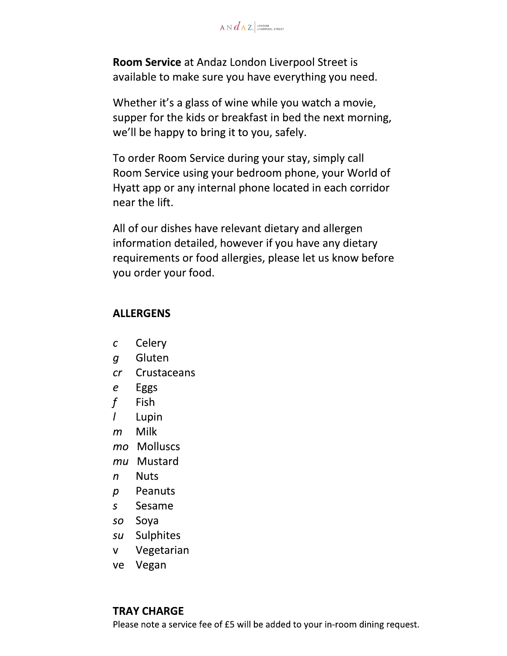$A \vee d$   $A$   $Z$ , LONDON

Room Service at Andaz London Liverpool Street is available to make sure you have everything you need.

Whether it's a glass of wine while you watch a movie, supper for the kids or breakfast in bed the next morning, we'll be happy to bring it to you, safely.

To order Room Service during your stay, simply call Room Service using your bedroom phone, your World of Hyatt app or any internal phone located in each corridor near the lift.

All of our dishes have relevant dietary and allergen information detailed, however if you have any dietary requirements or food allergies, please let us know before you order your food.

#### **ALLERGENS**

- Celery  $\mathcal{C}$
- Gluten  $\boldsymbol{q}$
- $cr$ Crustaceans
- Eggs  $\boldsymbol{e}$
- $\mathbf{f}$ **Fish**
- L Lupin
- Milk  $m$
- mo Molluscs
- mu Mustard
- **Nuts**  $\mathsf{n}$
- Peanuts  $\mathcal{D}$
- Sesame  $\mathsf{S}$
- so Soya
- su Sulphites
- Vegetarian  $\mathsf{V}^-$
- ve Vegan

## **TRAY CHARGE**

Please note a service fee of £5 will be added to your in-room dining request.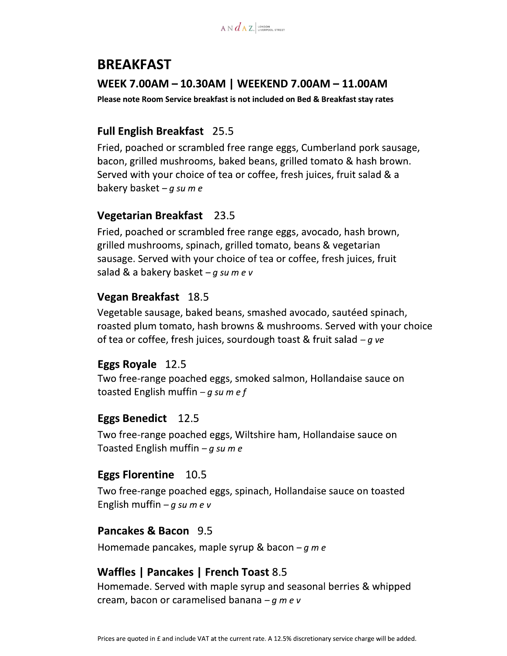

# **BREAKFAST** WEEK 7.00AM - 10.30AM | WEEKEND 7.00AM - 11.00AM

Please note Room Service breakfast is not included on Bed & Breakfast stay rates

## **Full English Breakfast** 25.5

Fried, poached or scrambled free range eggs, Cumberland pork sausage, bacon, grilled mushrooms, baked beans, grilled tomato & hash brown. Served with your choice of tea or coffee, fresh juices, fruit salad & a bakery basket  $-g$  su m e

## **Vegetarian Breakfast** 23.5

Fried, poached or scrambled free range eggs, avocado, hash brown, grilled mushrooms, spinach, grilled tomato, beans & vegetarian sausage. Served with your choice of tea or coffee, fresh juices, fruit salad & a bakery basket  $-g$  su m e v

## **Vegan Breakfast** 18.5

Vegetable sausage, baked beans, smashed avocado, sautéed spinach, roasted plum tomato, hash browns & mushrooms. Served with your choice of tea or coffee, fresh juices, sourdough toast & fruit salad  $-g$  ve

## Eggs Royale 12.5

Two free-range poached eggs, smoked salmon, Hollandaise sauce on toasted English muffin  $-g$  sum ef

## **Eggs Benedict** 12.5

Two free-range poached eggs, Wiltshire ham, Hollandaise sauce on Toasted English muffin  $-q$  su m e

## **Eggs Florentine** 10.5

Two free-range poached eggs, spinach, Hollandaise sauce on toasted English muffin  $-g$  su m e v

## Pancakes & Bacon 9.5

Homemade pancakes, maple syrup & bacon  $-g$  m e

## Waffles | Pancakes | French Toast 8.5

Homemade. Served with maple syrup and seasonal berries & whipped cream, bacon or caramelised banana  $-g \, m \, e \, v$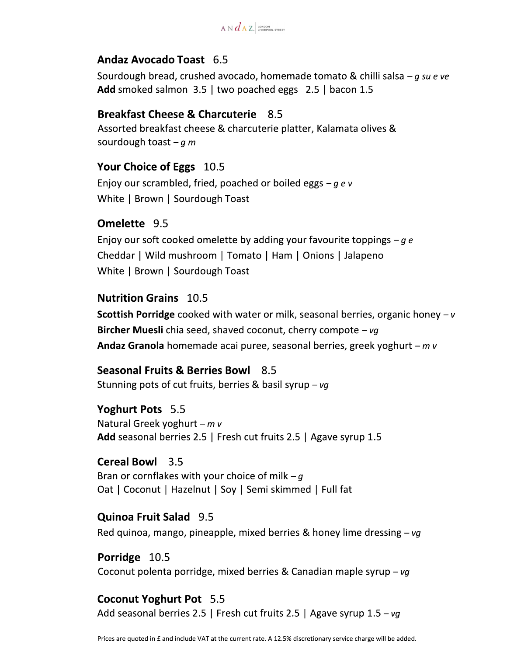

## Andaz Avocado Toast 6.5

Sourdough bread, crushed avocado, homemade tomato & chilli salsa – g su e ve Add smoked salmon 3.5 | two poached eggs 2.5 | bacon 1.5

#### **Breakfast Cheese & Charcuterie** 8.5

Assorted breakfast cheese & charcuterie platter, Kalamata olives & sourdough toast  $-g \, m$ 

#### Your Choice of Eggs 10.5

Enjoy our scrambled, fried, poached or boiled eggs  $-q e v$ White | Brown | Sourdough Toast

#### Omelette 9.5

Enjoy our soft cooked omelette by adding your favourite toppings  $-g e$ Cheddar | Wild mushroom | Tomato | Ham | Onions | Jalapeno White | Brown | Sourdough Toast

#### **Nutrition Grains 10.5**

**Scottish Porridge** cooked with water or milk, seasonal berries, organic honey  $-v$ **Bircher Muesli** chia seed, shaved coconut, cherry compote  $-\nu q$ **Andaz Granola** homemade acai puree, seasonal berries, greek yoghurt  $-mv$ 

Seasonal Fruits & Berries Bowl 8.5 Stunning pots of cut fruits, berries & basil syrup - vg

#### Yoghurt Pots 5.5

Natural Greek yoghurt  $-mv$ Add seasonal berries 2.5 | Fresh cut fruits 2.5 | Agave syrup 1.5

#### **Cereal Bowl** 3.5

Bran or cornflakes with your choice of milk  $-q$ Oat | Coconut | Hazelnut | Soy | Semi skimmed | Full fat

#### **Quinoa Fruit Salad** 9.5

Red quinoa, mango, pineapple, mixed berries & honey lime dressing  $-vg$ 

#### Porridge 10.5

Coconut polenta porridge, mixed berries & Canadian maple syrup  $-vg$ 

## **Coconut Yoghurt Pot** 5.5

Add seasonal berries 2.5 | Fresh cut fruits 2.5 | Agave syrup  $1.5 - vq$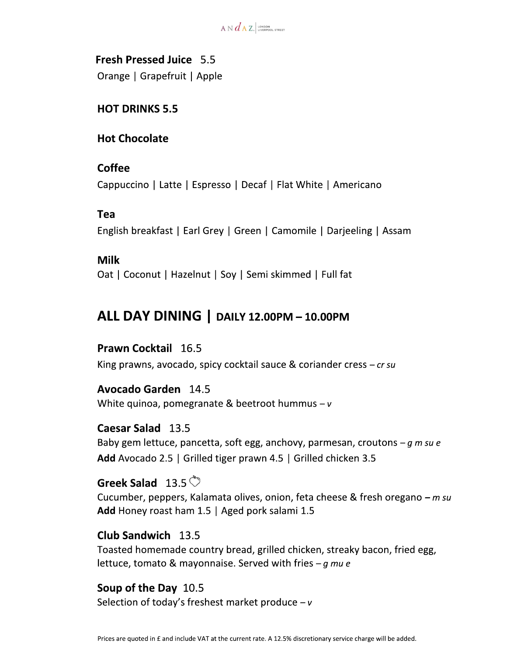

**Fresh Pressed Juice 5.5** Orange | Grapefruit | Apple

### **HOT DRINKS 5.5**

## **Hot Chocolate**

#### Coffee

Cappuccino | Latte | Espresso | Decaf | Flat White | Americano

## Tea

English breakfast | Earl Grey | Green | Camomile | Darjeeling | Assam

#### **Milk**

Oat | Coconut | Hazelnut | Soy | Semi skimmed | Full fat

## ALL DAY DINING | DAILY 12.00PM - 10.00PM

## Prawn Cocktail 16.5

King prawns, avocado, spicy cocktail sauce & coriander cress  $-$  cr su

## **Avocado Garden** 14.5

White quinoa, pomegranate & beetroot hummus  $-v$ 

#### Caesar Salad 13.5

Baby gem lettuce, pancetta, soft egg, anchovy, parmesan, croutons  $-q$  m su e Add Avocado 2.5 | Grilled tiger prawn 4.5 | Grilled chicken 3.5

## Greek Salad  $13.5$

Cucumber, peppers, Kalamata olives, onion, feta cheese & fresh oregano - m su Add Honey roast ham 1.5 | Aged pork salami 1.5

## Club Sandwich 13.5

Toasted homemade country bread, grilled chicken, streaky bacon, fried egg, lettuce, tomato & mayonnaise. Served with fries  $-g$  mu e

## Soup of the Day 10.5

Selection of today's freshest market produce  $-v$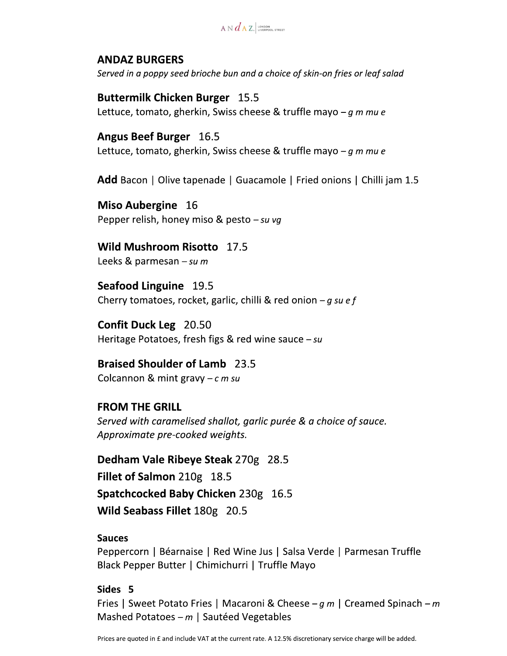$A \vee d$   $A$   $Z$ . LONDON

#### **ANDAZ BURGERS**

Served in a poppy seed brioche bun and a choice of skin-on fries or leaf salad

**Buttermilk Chicken Burger 15.5** Lettuce, tomato, gherkin, Swiss cheese & truffle mayo  $-g \, m \, m \, u \, e$ 

**Angus Beef Burger** 16.5 Lettuce, tomato, gherkin, Swiss cheese & truffle mayo  $-g \, m \, m \, u \, e$ 

**Add** Bacon | Olive tapenade | Guacamole | Fried onions | Chilli jam 1.5

Miso Aubergine 16 Pepper relish, honey miso & pesto  $-su$  vg

Wild Mushroom Risotto 17.5

Leeks & parmesan  $-su$  m

Seafood Linguine 19.5 Cherry tomatoes, rocket, garlic, chilli & red onion  $-g$  su e f

**Confit Duck Leg** 20.50 Heritage Potatoes, fresh figs & red wine sauce  $-su$ 

**Braised Shoulder of Lamb** 23.5 Colcannon & mint gravy  $-c$  m su

**FROM THE GRILL** Served with caramelised shallot, garlic purée & a choice of sauce. Approximate pre-cooked weights.

Dedham Vale Ribeye Steak 270g 28.5 Fillet of Salmon 210g 18.5 Spatchcocked Baby Chicken 230g 16.5 Wild Seabass Fillet 180g 20.5

#### **Sauces**

Peppercorn | Béarnaise | Red Wine Jus | Salsa Verde | Parmesan Truffle Black Pepper Butter | Chimichurri | Truffle Mayo

#### Sides<sub>5</sub>

Fries | Sweet Potato Fries | Macaroni & Cheese –  $q m$  | Creamed Spinach – m Mashed Potatoes  $-m$  | Sautéed Vegetables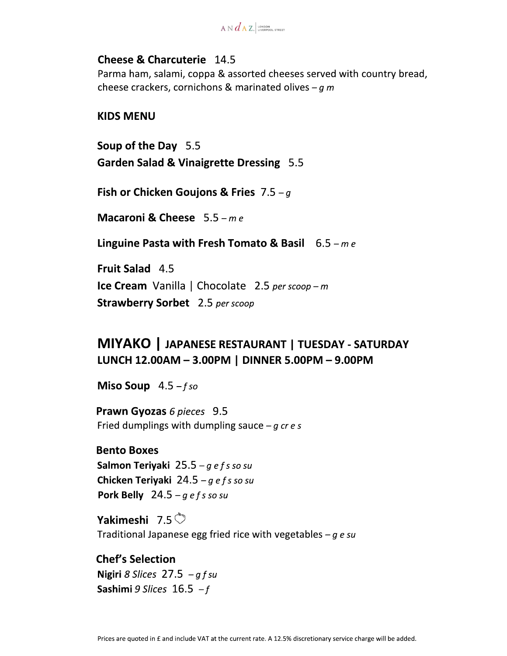$A \vee d$   $A$   $Z$ , LONDON

## **Cheese & Charcuterie** 14.5

Parma ham, salami, coppa & assorted cheeses served with country bread, cheese crackers, cornichons & marinated olives  $-q$  m

#### **KIDS MENU**

Soup of the Day 5.5 **Garden Salad & Vinaigrette Dressing 5.5** 

Fish or Chicken Goujons & Fries  $7.5 - g$ 

Macaroni & Cheese  $5.5 - me$ 

Linguine Pasta with Fresh Tomato & Basil  $6.5 - me$ 

Fruit Salad 4.5 **Ice Cream** Vanilla | Chocolate 2.5 per scoop - m **Strawberry Sorbet** 2.5 per scoop

## MIYAKO | JAPANESE RESTAURANT | TUESDAY - SATURDAY LUNCH 12.00AM - 3.00PM | DINNER 5.00PM - 9.00PM

Miso Soup  $4.5 - fso$ 

Prawn Gyozas 6 pieces 9.5 Fried dumplings with dumpling sauce  $-g$  cr e s

**Bento Boxes** Salmon Teriyaki 25.5 –  $q e f s$  so su Chicken Teriyaki 24.5 – g e f s so su Pork Belly  $24.5 - q$  efs so su

Yakimeshi 7.5 $\circled{}$ Traditional Japanese egg fried rice with vegetables  $-g e s u$ 

**Chef's Selection** Nigiri 8 Slices  $27.5 - qfsu$ Sashimi 9 Slices  $16.5 - f$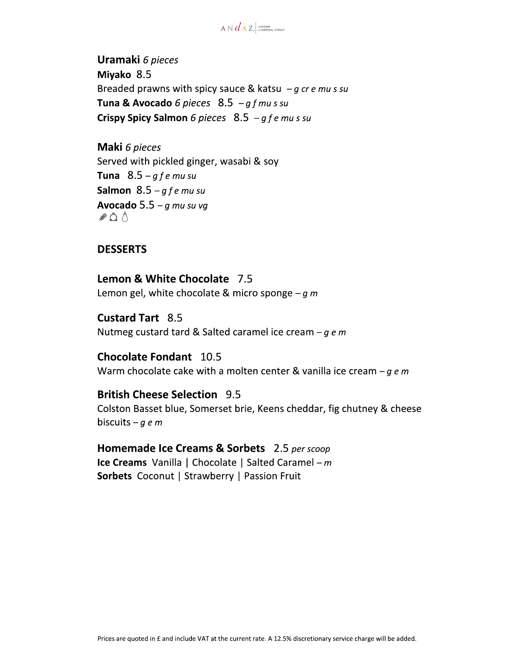$A \vee d$   $A$   $Z$ . LONDON

**Uramaki** 6 pieces Miyako 8.5 Breaded prawns with spicy sauce & katsu  $-g$  cr e mu s su Tuna & Avocado 6 pieces  $8.5 - gf$  mu s su Crispy Spicy Salmon 6 pieces  $8.5 - g f e$  mussu

Maki 6 pieces Served with pickled ginger, wasabi & soy Tuna  $8.5-gfe$  mu su Salmon  $8.5-gfe$  mu su Avocado 5.5 –  $q$  mu su vq  $\mathcal{L}$   $\Lambda$ 

#### **DESSERTS**

Lemon & White Chocolate 7.5 Lemon gel, white chocolate & micro sponge  $-q$  m

**Custard Tart** 8.5 Nutmeg custard tard & Salted caramel ice cream  $-g e m$ 

**Chocolate Fondant** 10.5 Warm chocolate cake with a molten center & vanilla ice cream  $-g \, e \, m$ 

**British Cheese Selection 9.5** Colston Basset blue, Somerset brie, Keens cheddar, fig chutney & cheese biscuits – g e m

Homemade Ice Creams & Sorbets 2.5 per scoop **Ice Creams** Vanilla | Chocolate | Salted Caramel –  $m$ Sorbets Coconut | Strawberry | Passion Fruit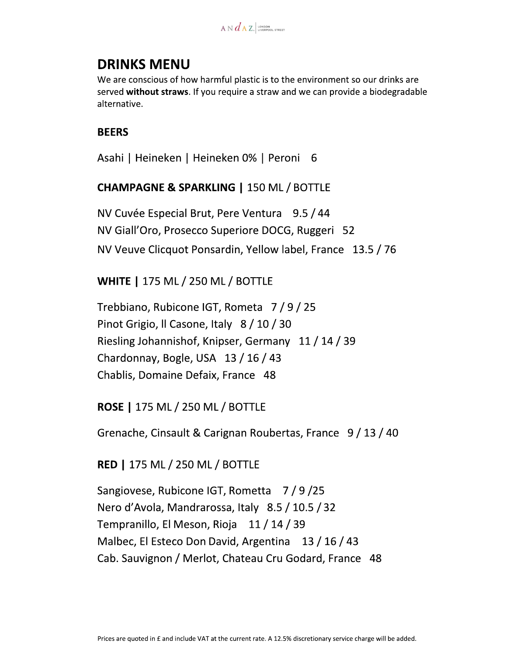$A \vee d$   $A$   $Z$ . LONDON

## **DRINKS MENU**

We are conscious of how harmful plastic is to the environment so our drinks are served without straws. If you require a straw and we can provide a biodegradable alternative.

#### **BEERS**

Asahi | Heineken | Heineken 0% | Peroni 6

## **CHAMPAGNE & SPARKLING | 150 ML / BOTTLE**

NV Cuvée Especial Brut, Pere Ventura 9.5 / 44 NV Giall'Oro, Prosecco Superiore DOCG, Ruggeri 52 NV Veuve Clicquot Ponsardin, Yellow label, France 13.5 / 76

## **WHITE | 175 ML / 250 ML / BOTTLE**

Trebbiano, Rubicone IGT, Rometa 7/9/25 Pinot Grigio, Il Casone, Italy 8 / 10 / 30 Riesling Johannishof, Knipser, Germany 11 / 14 / 39 Chardonnay, Bogle, USA 13 / 16 / 43 Chablis, Domaine Defaix, France 48

## **ROSE | 175 ML / 250 ML / BOTTLE**

Grenache, Cinsault & Carignan Roubertas, France 9 / 13 / 40

#### **RED | 175 ML / 250 ML / BOTTLE**

Sangiovese, Rubicone IGT, Rometta 7/9/25 Nero d'Avola, Mandrarossa, Italy 8.5 / 10.5 / 32 Tempranillo, El Meson, Rioja 11 / 14 / 39 Malbec, El Esteco Don David, Argentina 13 / 16 / 43 Cab. Sauvignon / Merlot, Chateau Cru Godard, France 48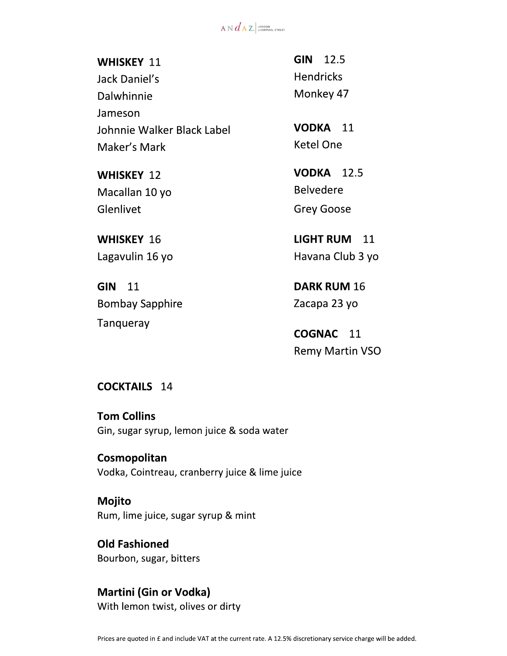$A \vee d$   $A$   $Z$ . LONDON

#### **WHISKEY 11**

Jack Daniel's Dalwhinnie Jameson Johnnie Walker Black Label Maker's Mark

**WHISKEY 12** Macallan 10 yo Glenlivet

**WHISKEY 16** Lagavulin 16 yo

**GIN 11 Bombay Sapphire** Tanqueray

**GIN 12.5 Hendricks** Monkey 47

VODKA 11 **Ketel One** 

**VODKA** 12.5 **Belvedere Grey Goose** 

**LIGHT RUM** 11 Havana Club 3 yo

**DARK RUM 16** Zacapa 23 yo

**COGNAC** 11 **Remy Martin VSO** 

**COCKTAILS** 14

**Tom Collins** Gin, sugar syrup, lemon juice & soda water

Cosmopolitan Vodka, Cointreau, cranberry juice & lime juice

**Mojito** Rum, lime juice, sugar syrup & mint

**Old Fashioned** Bourbon, sugar, bitters

#### **Martini (Gin or Vodka)** With lemon twist, olives or dirty